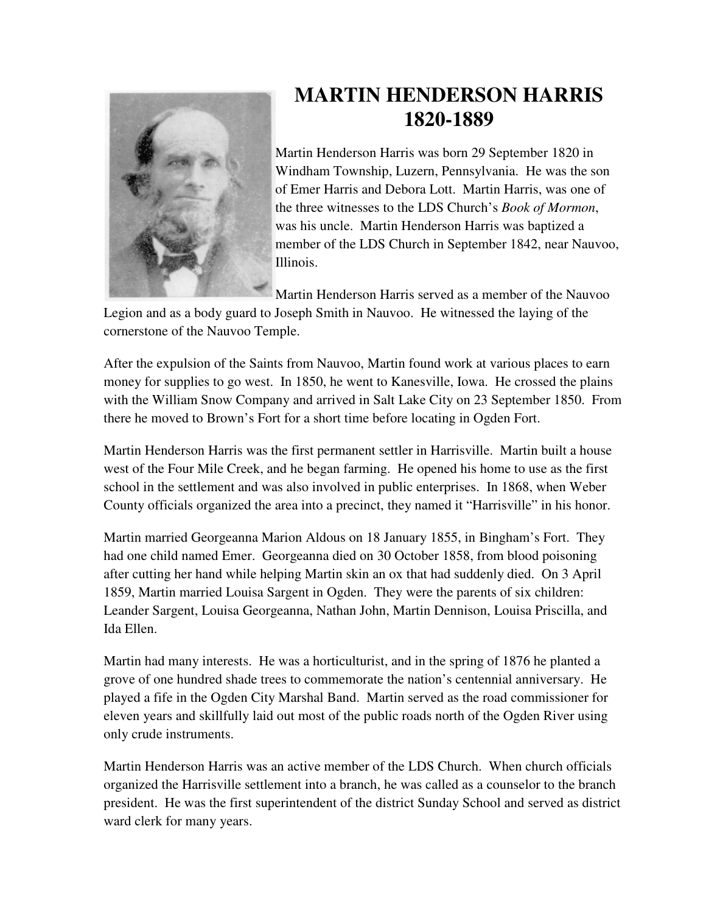

## **MARTIN HENDERSON HARRIS 1820-1889**

Martin Henderson Harris was born 29 September 1820 in Windham Township, Luzern, Pennsylvania. He was the son of Emer Harris and Debora Lott. Martin Harris, was one of the three witnesses to the LDS Church's *Book of Mormon*, was his uncle. Martin Henderson Harris was baptized a member of the LDS Church in September 1842, near Nauvoo, Illinois.

Martin Henderson Harris served as a member of the Nauvoo

Legion and as a body guard to Joseph Smith in Nauvoo. He witnessed the laying of the cornerstone of the Nauvoo Temple.

After the expulsion of the Saints from Nauvoo, Martin found work at various places to earn money for supplies to go west. In 1850, he went to Kanesville, Iowa. He crossed the plains with the William Snow Company and arrived in Salt Lake City on 23 September 1850. From there he moved to Brown's Fort for a short time before locating in Ogden Fort.

Martin Henderson Harris was the first permanent settler in Harrisville. Martin built a house west of the Four Mile Creek, and he began farming. He opened his home to use as the first school in the settlement and was also involved in public enterprises. In 1868, when Weber County officials organized the area into a precinct, they named it "Harrisville" in his honor.

Martin married Georgeanna Marion Aldous on 18 January 1855, in Bingham's Fort. They had one child named Emer. Georgeanna died on 30 October 1858, from blood poisoning after cutting her hand while helping Martin skin an ox that had suddenly died. On 3 April 1859, Martin married Louisa Sargent in Ogden. They were the parents of six children: Leander Sargent, Louisa Georgeanna, Nathan John, Martin Dennison, Louisa Priscilla, and Ida Ellen.

Martin had many interests. He was a horticulturist, and in the spring of 1876 he planted a grove of one hundred shade trees to commemorate the nation's centennial anniversary. He played a fife in the Ogden City Marshal Band. Martin served as the road commissioner for eleven years and skillfully laid out most of the public roads north of the Ogden River using only crude instruments.

Martin Henderson Harris was an active member of the LDS Church. When church officials organized the Harrisville settlement into a branch, he was called as a counselor to the branch president. He was the first superintendent of the district Sunday School and served as district ward clerk for many years.